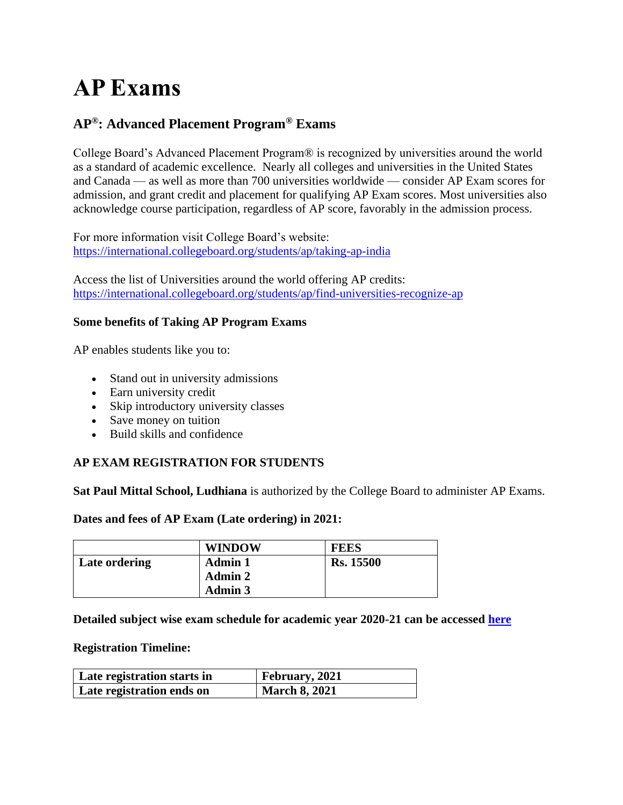# **AP Exams**

# **AP®: Advanced Placement Program® Exams**

College Board's Advanced Placement Program® is recognized by universities around the world as a standard of academic excellence. Nearly all colleges and universities in the United States and Canada — as well as more than 700 universities worldwide — consider AP Exam scores for admission, and grant credit and placement for qualifying AP Exam scores. Most universities also acknowledge course participation, regardless of AP score, favorably in the admission process.

For more information visit College Board's website: <https://international.collegeboard.org/students/ap/taking-ap-india>

Access the list of Universities around the world offering AP credits: <https://international.collegeboard.org/students/ap/find-universities-recognize-ap>

## **Some benefits of Taking AP Program Exams**

AP enables students like you to:

- Stand out in university admissions
- Earn university credit
- Skip introductory university classes
- Save money on tuition
- Build skills and confidence

# **AP EXAM REGISTRATION FOR STUDENTS**

**Sat Paul Mittal School, Ludhiana** is authorized by the College Board to administer AP Exams.

#### **Dates and fees of AP Exam (Late ordering) in 2021:**

|               | <b>WINDOW</b>  | <b>FEES</b>      |
|---------------|----------------|------------------|
| Late ordering | <b>Admin 1</b> | <b>Rs. 15500</b> |
|               | <b>Admin 2</b> |                  |
|               | <b>Admin 3</b> |                  |

#### **Detailed subject wise exam schedule for academic year 2020-21 can be accessed [here](https://apcentral.collegeboard.org/courses/exam-dates-and-fees)**

#### **Registration Timeline:**

| Late registration starts in | <b>February</b> , 2021 |
|-----------------------------|------------------------|
| Late registration ends on   | <b>March 8, 2021</b>   |